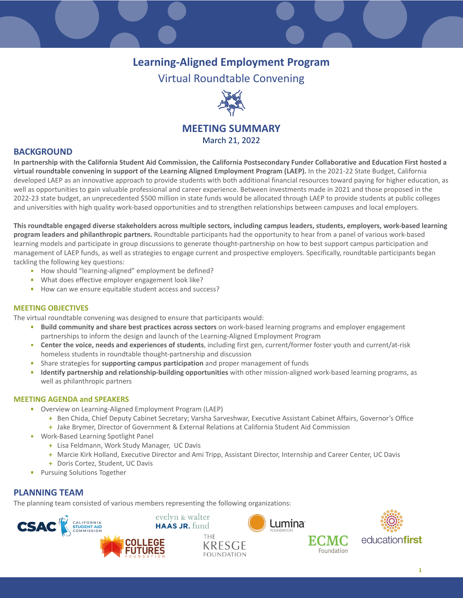# **Learning-Aligned Employment Program**

Virtual Roundtable Convening



# **MEETING SUMMARY**

March 21, 2022

## **BACKGROUND**

**In partnership with the California Student Aid Commission, the California Postsecondary Funder Collaborative and Education First hosted a virtual roundtable convening in support of the Learning Aligned Employment Program (LAEP).** In the 2021-22 State Budget, California developed LAEP as an innovative approach to provide students with both additional financial resources toward paying for higher education, as well as opportunities to gain valuable professional and career experience. Between investments made in 2021 and those proposed in the 2022-23 state budget, an unprecedented \$500 million in state funds would be allocated through LAEP to provide students at public colleges and universities with high quality work-based opportunities and to strengthen relationships between campuses and local employers.

**This roundtable engaged diverse stakeholders across multiple sectors, including campus leaders, students, employers, work-based learning program leaders and philanthropic partners.** Roundtable participants had the opportunity to hear from a panel of various work-based learning models and participate in group discussions to generate thought-partnership on how to best support campus participation and management of LAEP funds, as well as strategies to engage current and prospective employers. Specifically, roundtable participants began tackling the following key questions:

- How should "learning-aligned" employment be defined?
- What does effective employer engagement look like?
- How can we ensure equitable student access and success?

#### **MEETING OBJECTIVES**

The virtual roundtable convening was designed to ensure that participants would:

- **Build community and share best practices across sectors** on work-based learning programs and employer engagement partnerships to inform the design and launch of the Learning-Aligned Employment Program
- **Center the voice, needs and experiences of students**, including first gen, current/former foster youth and current/at-risk homeless students in roundtable thought-partnership and discussion
- ▪ Share strategies for **supporting campus participation** and proper management of funds
- **Identify partnership and relationship-building opportunities** with other mission-aligned work-based learning programs, as well as philanthropic partners

#### **MEETING AGENDA and SPEAKERS**

- Overview on Learning-Aligned Employment Program (LAEP)
	- **+** Ben Chida, Chief Deputy Cabinet Secretary; Varsha Sarveshwar, Executive Assistant Cabinet Affairs, Governor's Office
	- **+** Jake Brymer, Director of Government & External Relations at California Student Aid Commission
- Work-Based Learning Spotlight Panel
	- **+** Lisa Feldmann, Work Study Manager, UC Davis
	- **+** Marcie Kirk Holland, Executive Director and Ami Tripp, Assistant Director, Internship and Career Center, UC Davis
	- **+** Doris Cortez, Student, UC Davis
- **•** Pursuing Solutions Together

## **PLANNING TEAM**

The planning team consisted of various members representing the following organizations:





evelyn & walter





Foundation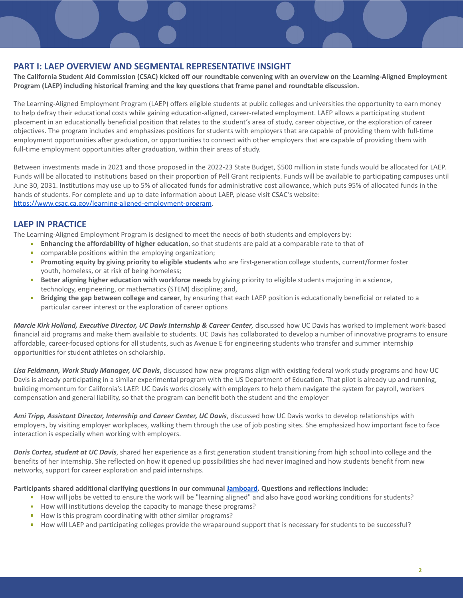#### **PART I: LAEP OVERVIEW AND SEGMENTAL REPRESENTATIVE INSIGHT**

**The California Student Aid Commission (CSAC) kicked off our roundtable convening with an overview on the Learning-Aligned Employment Program (LAEP) including historical framing and the key questions that frame panel and roundtable discussion.**

The Learning-Aligned Employment Program (LAEP) offers eligible students at public colleges and universities the opportunity to earn money to help defray their educational costs while gaining education-aligned, career-related employment. LAEP allows a participating student placement in an educationally beneficial position that relates to the student's area of study, career objective, or the exploration of career objectives. The program includes and emphasizes positions for students with employers that are capable of providing them with full-time employment opportunities after graduation, or opportunities to connect with other employers that are capable of providing them with full-time employment opportunities after graduation, within their areas of study.

Between investments made in 2021 and those proposed in the 2022-23 State Budget, \$500 million in state funds would be allocated for LAEP. Funds will be allocated to institutions based on their proportion of Pell Grant recipients. Funds will be available to participating campuses until June 30, 2031. Institutions may use up to 5% of allocated funds for administrative cost allowance, which puts 95% of allocated funds in the hands of students. For complete and up to date information about LAEP, please visit CSAC's website: [https://www.csac.ca.gov/learning-aligned-employment-program.](https://www.csac.ca.gov/learning-aligned-employment-program)

## **LAEP IN PRACTICE**

The Learning-Aligned Employment Program is designed to meet the needs of both students and employers by:

- **Enhancing the affordability of higher education**, so that students are paid at a comparable rate to that of
- comparable positions within the employing organization;
- **Promoting equity by giving priority to eligible students** who are first-generation college students, current/former foster youth, homeless, or at risk of being homeless;
- **Better aligning higher education with workforce needs** by giving priority to eligible students majoring in a science, technology, engineering, or mathematics (STEM) discipline; and,
- Bridging the gap between college and career, by ensuring that each LAEP position is educationally beneficial or related to a particular career interest or the exploration of career options

Marcie Kirk Holland, Executive Director, UC Davis Internship & Career Center, discussed how UC Davis has worked to implement work-based financial aid programs and make them available to students. UC Davis has collaborated to develop a number of innovative programs to ensure affordable, career-focused options for all students, such as Avenue E for engineering students who transfer and summer internship opportunities for student athletes on scholarship.

*Lisa Feldmann, Work Study Manager, UC Davis***,** discussed how new programs align with existing federal work study programs and how UC Davis is already participating in a similar experimental program with the US Department of Education. That pilot is already up and running, building momentum for California's LAEP. UC Davis works closely with employers to help them navigate the system for payroll, workers compensation and general liability, so that the program can benefit both the student and the employer

*Ami Tripp, Assistant Director, Internship and Career Center, UC Davis*, discussed how UC Davis works to develop relationships with employers, by visiting employer workplaces, walking them through the use of job posting sites. She emphasized how important face to face interaction is especially when working with employers.

*Doris Cortez, student at UC Davis*, shared her experience as a first generation student transitioning from high school into college and the benefits of her internship. She reflected on how it opened up possibilities she had never imagined and how students benefit from new networks, support for career exploration and paid internships.

**Participants shared additional clarifying questions in our communal [Jamboard.](https://jamboard.google.com/d/1jklGpI90XwiYU-Py6uJOVAyj84iqd0kSWTs0ERNtojM/viewer?f=0) Questions and reflections include:**

- How will jobs be vetted to ensure the work will be "learning aligned" and also have good working conditions for students?
- **•** How will institutions develop the capacity to manage these programs?
- How is this program coordinating with other similar programs?
- ▪ How will LAEP and participating colleges provide the wraparound support that is necessary for students to be successful?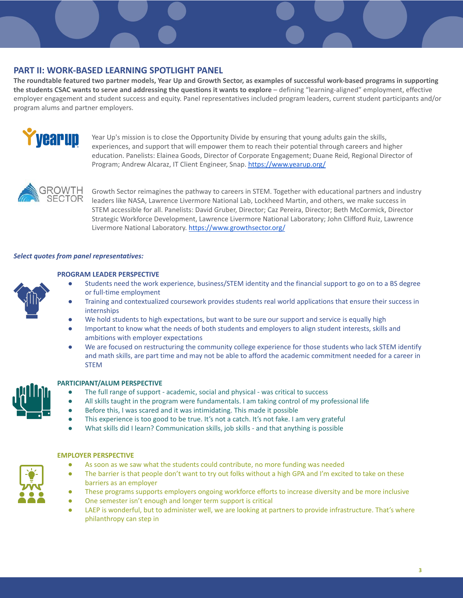## **PART II: WORK-BASED LEARNING SPOTLIGHT PANEL**

**The roundtable featured two partner models, Year Up and Growth Sector, as examples of successful work-based programs in supporting the students CSAC wants to serve and addressing the questions it wants to explore** – defining "learning-aligned" employment, effective employer engagement and student success and equity. Panel representatives included program leaders, current student participants and/or program alums and partner employers.



Year Up's mission is to close the Opportunity Divide by ensuring that young adults gain the skills, experiences, and support that will empower them to reach their potential through careers and higher education. Panelists: Elainea Goods, Director of Corporate Engagement; Duane Reid, Regional Director of Program; Andrew Alcaraz, IT Client Engineer, Snap. <https://www.yearup.org/>



Growth Sector reimagines the pathway to careers in STEM. Together with educational partners and industry leaders like NASA, Lawrence Livermore National Lab, Lockheed Martin, and others, we make success in STEM accessible for all. Panelists: David Gruber, Director; Caz Pereira, Director; Beth McCormick, Director Strategic Workforce Development, Lawrence Livermore National Laboratory; John Clifford Ruiz, Lawrence Livermore National Laboratory. <https://www.growthsector.org/>

#### *Select quotes from panel representatives:*



#### **PROGRAM LEADER PERSPECTIVE**

- Students need the work experience, business/STEM identity and the financial support to go on to a BS degree or full-time employment
- Training and contextualized coursework provides students real world applications that ensure their success in internships
- We hold students to high expectations, but want to be sure our support and service is equally high
- **●** Important to know what the needs of both students and employers to align student interests, skills and ambitions with employer expectations
- We are focused on restructuring the community college experience for those students who lack STEM identify and math skills, are part time and may not be able to afford the academic commitment needed for a career in STEM



 $\left| \frac{1}{n} \right|$ 

#### **PARTICIPANT/ALUM PERSPECTIVE**

- The full range of support academic, social and physical was critical to success
- All skills taught in the program were fundamentals. I am taking control of my professional life
- Before this, I was scared and it was intimidating. This made it possible
- This experience is too good to be true. It's not a catch. It's not fake. I am very grateful
- What skills did I learn? Communication skills, job skills and that anything is possible

#### **EMPLOYER PERSPECTIVE**

- As soon as we saw what the students could contribute, no more funding was needed
- <sup>~</sup>••• ••• The barrier is that people don't want to try out folks without a high GPA and I'm excited to take on these barriers as an employer
	- These programs supports employers ongoing workforce efforts to increase diversity and be more inclusive
	- One semester isn't enough and longer term support is critical
	- LAEP is wonderful, but to administer well, we are looking at partners to provide infrastructure. That's where philanthropy can step in